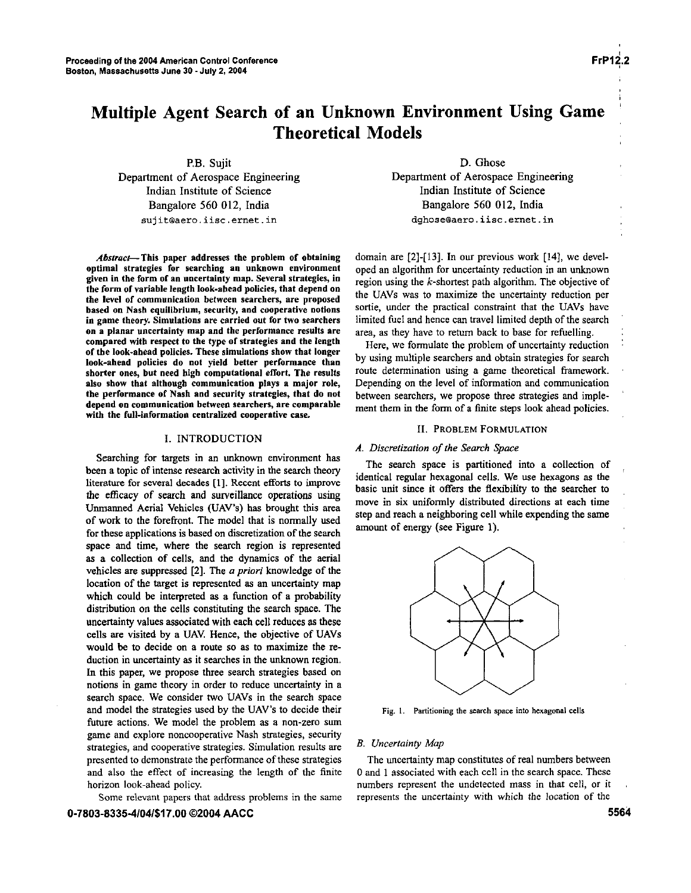'

'

'

,

# **Multiple Agent Search of an Unknown Environment Using Game Theoretical Models**

P.B. Sujit Department of Aerospace Engineering Indian Institute of Science Bangalore 560 012, India **sujit@aero.iisc.ernet.in** 

Abstract-This paper addresses the problem of obtaining optimal strategies for searching **an** unknown environment given in the form of an uncertainty map. Several strategies, in the form of variable length look-ahead policies, that depend **on**  the level of communication between searchers, are proposed based **on** Nash equilibrium, security, and cooperative **notions**  in game theory. Simulations are carried out for two searchers **on** a planar uncertainty map and the performance results are compared with respect to the type of strategies and the length of the look-ahead policies. These simulations show that longer look-ahead policies do not yield better performanee than shorter ones, but need high computational effort. The results also show that although communication plays **a** major role, the performance of Nash and security strategies, that **do** not depend **on** communication between searchers, are comparable with the full-information centralized cooperative case.

## I. INTRODUCTION

Searching for targets in an unknown environment has been a topic of intense research activity in the search theory literature for several decades [I]. Recent efforts to improve the efficacy of search and surveillance operations using Unmanned Aerial Vehicles (UAV's) has brought this area of work to the forefront. The model that is normally used for these applications is based on discretization of the search space and time, where the search region is represented **as** a collection of cells, and the dynamics of the aerial vehicles are suppressed **[2].** The *a priori* knowledge of the location of the target is represented **as** an uncertainty map which could be interpreted **as** a function of a probability distribution on the cells constituting the search space. The uncertainty values associated with each cell reduces **as** these cells are visited by a UAV. Hence, the objective of UAVs would be to decide on a route so **as** to maximize the reduction in uncertainty **as** it searches in the unknown region. In this paper, we propose three search strategies based on notions in game theory in order to reduce uncertainty in a search space. We consider two UAVs in the search space and model the strategies used by the UAV's to decide their future actions. We model the problem as a non-zero sum game and explore noncooperative Nash strategies, security strategies, and cooperative strategies. Simulation results are presented to demonstrate the performance of these strategies and also the effect of increasing the length of the finite horizon look-ahead policy.

Some relevant papers that address problems **in** the same

#### **0-7803-8335-4104lf17.00 02004 AACC**

D. Ghose Department of Aerospace Engineering Indian Institute of Science Bangalore 560 012, India **dghose@aero.iisc.ernet.in** 

domain are [2]-[13]. In our previous work **[14],** we developed an algorithm for uncertainty reduction in an unknown region using the k-shortest path algorithm. The objective of the UAVs was to maximize the uncertainty reduction per sortie, under the practical constraint that the UAVs have limited fuel and hence can travel limited depth of the search area, as they have to retum back to base for refuelling.

Here, we formulate the problem of uncertainty reduction by using multiple searchers and obtain strategies for search route determination using a game theoretical framework. Depending **on** the level of information and communication between searchers, we propose three strategies and implement them in the form of a finite steps look ahead policies.

### 11. PROBLEM FORMULATION

## *A. Discretization of the Search Space*

The search space is partitioned into a collection of identical regular hexagonal cells. We use hexagons **as** the basic unit since it offers the flexibility to the searcher to move in six uniformly distributed directions at each time step and reach a neighboring cell while expending the same amount of energy (see Figure **1).** 



**Fig. 1. Partitioning the search space into hexagonal cells** 

## *B. Uncertaing Map*

The uncertainty map constitutes of real numbers between 0 and 1 associated with each cell in the search space. These numbers represent the undetected mass in that cell, or it represents the uncertainty with which the location of the

,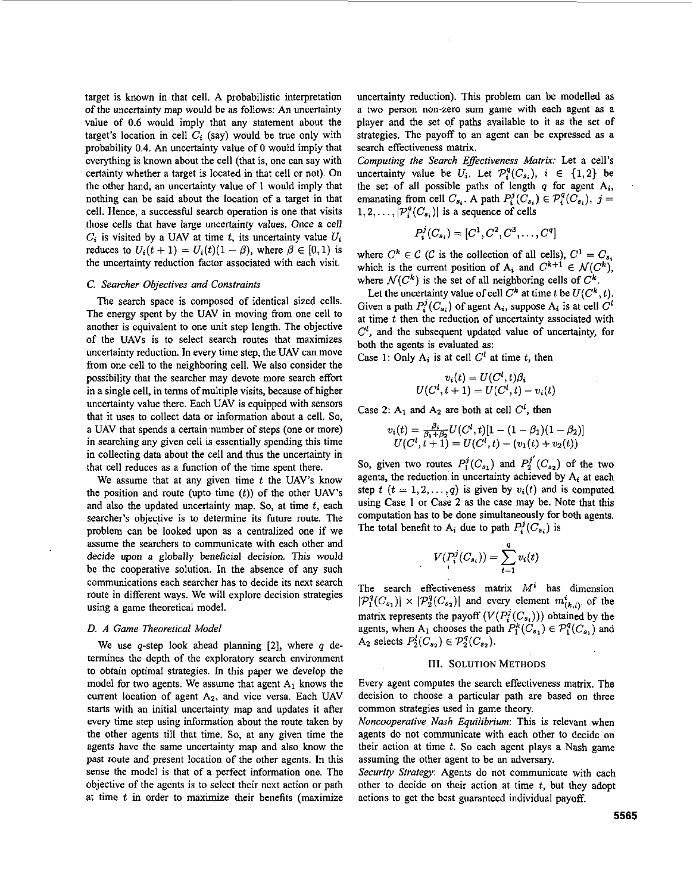target is known in that cell. **A** probabilistic interpretation of the uncertainty map would be **as** follows: **An** uncertainty value of 0.6 would imply that any statement about the target's location in cell  $C_i$  (say) would be true only with probability **0.4.** An uncertainty value of 0 would imply that everything is known about the cell (that is, one can say with certainty whether a target is located in that cell or not). On the other hand, an uncertainty value of 1 would imply that nothing can be said about the location of a target in that cell. Hence, a successful search operation is one that visits those cells that have large uncertainty values. Once a cell  $C_i$  is visited by a UAV at time *t*, its uncertainty value  $U_i$ reduces to  $U_i(t + 1) = U_i(t)(1 - \beta)$ , where  $\beta \in [0, 1)$  is the uncertainty reduction factor associated with each visit.

## *C.* Searcher Objectives and Constraints

The search space is composed of identical sized cells. The energy spent by the **UAV** in moving from one cell to another is equivalent to one unit step length. The objective of the **UAVs** is to select search routes that maximizes uncertainty reduction. In every time step, the **UAV** can move from one cell to the neighboring cell. We also consider the possibility that the searcher may devote more search effort in a single cell, in terms of multiple visits, because of higher uncertainty value there. Each **UAV** is equipped with sensors that it uses to collect data or information about a cell. *So,*  a **UAV** that spends a certain.number of steps (one or more) in searching any given cell is essentially spending this time in collecting data about the cell and thus the uncertainty in that cell reduces **as** a function of the time spent there.

We assume that at any given time *t* the **UAV's** know the position and route (upto time *(t))* of the other **UAV's**  and also the updated uncertainty map. So, at time *t,* each searcher's objective is to determine its future route. The problem can be looked upon **as** a centralized one if we assume the searchers to communicate with each other and decide upon a globally beneficial decision. This would be the cooperative solution. In the absence of any such communications each searcher has to decide its next search route in different ways. We will explore decision strategies using a game theoretical model.

### *D. A* Game Theoretical Model

We **use** q-step look ahead planning **[2],** where *q* determines the depth of the exploratory search environment to obtain optimal strategies. In this paper we develop the model for two agents. We assume that agent  $A_1$  knows the current location of agent A<sub>2</sub>, and vice versa. Each UAV starts with an initial uncertainty map and updates it after every time step using information about the route taken by the other agents till that time. So, at any given time the agents have the same uncertainty map and also know the past route and present location of the other agents. In this sense the model **is** that of a perfect information one. The objective of the agents is to select their next action or path at time *t* in order to maximize their benefits (maximize

uncertainty reduction). This problem can be modelled as a two person non-zero sum game with each agent **as** a player and the set of paths available to it as the set of strategies. The payoff to an agent can be expressed as a search effectiveness matrix.

Computing the Search Effectiveness Matrix: Let a cell's uncertainty value be  $U_i$ . Let  $\mathcal{P}_i^q(C_{s_i}), i \in \{1,2\}$  be the set of all possible paths of length  $q$  for agent  $A_i$ , emanating from cell  $C_{s_i}$ . A path  $P_i^j(C_{s_i}) \in \mathcal{P}_i^q(C_{s_i}), j =$  $1, 2, \ldots, |\mathcal{P}_{i}^{q}(C_{s_i})|$  is a sequence of cells

$$
P_i^j(C_{s_i})=[C^1,C^2,C^3,\ldots,C^q]
$$

where  $C^k \in \mathcal{C}$  (C is the collection of all cells),  $C^1 = C_{s_i}$ which is the current position of A<sub>i</sub> and  $C^{k+1} \in \mathcal{N}(C^k)$ , where  $\mathcal{N}(C^k)$  is the set of all neighboring cells of  $C^k$ .

Let the uncertainty value of cell  $C^k$  at time *t* be  $U(C^k, t)$ . Given a path  $P_i^j(C_{s_i})$  of agent  $A_i$ , suppose  $A_i$  is at cell  $C^l$ at time *t* then the reduction of uncertainty associated with  $C<sup>i</sup>$ , and the subsequent updated value of uncertainty, for both the agents is evaluated **as:** 

Case 1: Only  $A_i$  is at cell  $C^l$  at time *t*, then

$$
v_i(t) = U(C^l, t)\beta_i
$$
  

$$
U(C^l, t+1) = U(C^l, t) - v_i(t)
$$

Case 2:  $A_1$  and  $A_2$  are both at cell  $C^l$ , then

$$
v_i(t) = \frac{\beta_i}{\beta_1 + \beta_2} U(C^l, t) [1 - (1 - \beta_1)(1 - \beta_2)]
$$
  

$$
U(C^l, t + 1) = U(C^l, t) - (v_1(t) + v_2(t))
$$

So, given two routes  $P_1^j(C_{s_1})$  and  $P_2^{j'}(C_{s_2})$  of the two agents, the reduction in uncertainty achieved by *Ai* at each step  $t$   $(t = 1, 2, ..., q)$  is given by  $v_i(t)$  and is computed using **Case** 1 or Case **2 as** the case may be. Note that this computation has to be done simultaneously for both agents. The total benefit to  $A_i$  due to path  $P_i^j(C_{s_i})$  is

$$
V(P_i^j(C_{s_i})) = \sum_{t=1}^q v_i(t)
$$

The search effectiveness matrix  $M<sup>i</sup>$  has dimension  $|\mathcal{P}_1^q(C_{s_1})| \times |\mathcal{P}_2^q(C_{s_2})|$  and every element  $m_{(k,l)}^i$  of the matrix represents the payoff  $(V(P_i^j(C_{s_i})))$  obtained by the agents, when A<sub>1</sub> chooses the path  $P_1^k(C_{s_1}) \in \mathcal{P}_1^q(C_{s_1})$  and  $A_2$  selects  $P_2^l(C_{s_2}) \in \mathcal{P}_2^q(C_{s_2}).$ 

## 111. **SOLUTION METHODS**

Every agent computes the search effectiveness matrix. The decision to choose a particular path are based on three common strategies used in game theory.

Noncooperative Nash Equilibrium: This is relevant when agents do not communicate with each other to decide on their action at time *t.* So each agent plays a Nash game assuming the other agent to be an adversary.

Security Strategy: Agents do not communicate with each other to decide on their action at time *t,* but they adopt actions to get the best guaranteed individual payoff.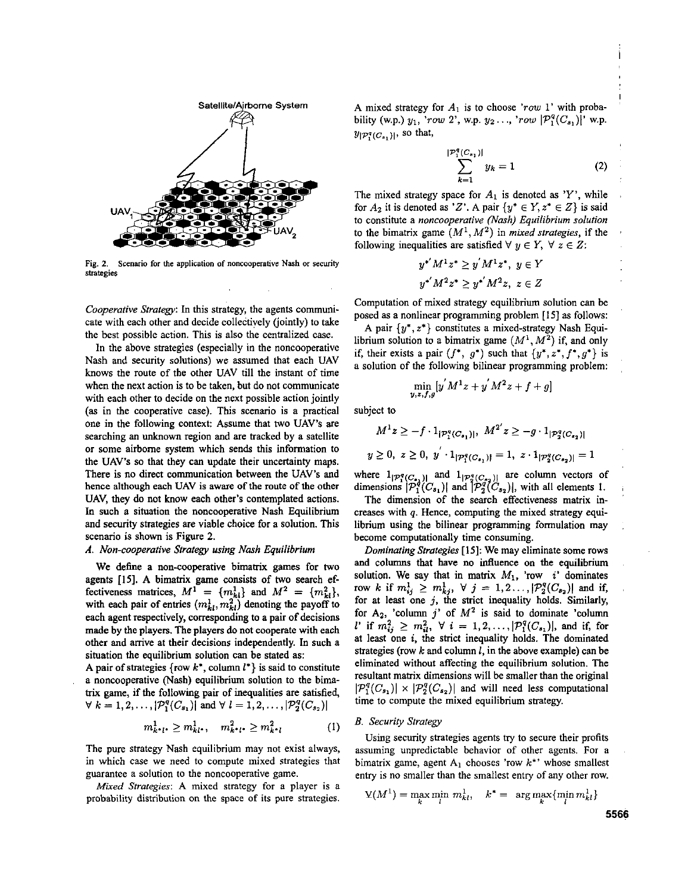

**Fig. 2. Scenario for the application of noncaoperative Nash or security strategies** 

*Cooperative Strategy:* In this strategy, the agents communicate with each other and decide collectiyely (jointly) to take the best possible action. This is also the centralized case.

In the above strategies (especially in the noncooperative Nash and security solutions) we assumed that each **UAV**  knows the route of the other **UAV** till the instant of time when the next action is to be taken, but do not communicate with each other to decide **on** the next possible action jointly **(as** in the cooperative case). This scenario is a practical one in the following context: Assume that two **UAV's** are searching an unknown region and are tracked by a satellite or some airbome system which sends this information to the **UAV's** so that they can update their uncertainty maps. There is no direct communication between the **UAV's** and hence although each UAV is aware of the route of the other **UAV,** they do not know each other's contemplated actions. In such a situation the noncooperative Nash Equilibrium and security strategies are viable choice for a solution. This scenario is shown is Figure 2.

#### A. Non-cooperative Strategy using Nash Equilibrium

We define a non-cooperative bimatrix games for two agents [15]. A bimatrix game consists of two search effectiveness matrices,  $M^1 = \{m_{kl}^1\}$  and  $M^2 = \{m_{kl}^2\}$ , with each pair of entries  $(m_{kl}^1, m_{kl}^2)$  denoting the payoff to each agent respectively, corresponding to a pair of decisions made by the players. The players do not cooperate with each other and arrive at their decisions independently. In such a situation the equilibrium solution can be stated **as:** 

**A** pair of strategies {row *k',* column *1')* is said to constitute a noncooperative (Nash) equilibrium solution to the bimatrix game, if the following pair of inequalities are satisfied,  $\forall k = 1, 2, ..., |\mathcal{P}_1^q(C_{s_1})| \text{ and } \forall l = 1, 2, ..., |\mathcal{P}_2^q(C_{s_2})|$ 

$$
m_{k+l}^1 \ge m_{kl}^1, \quad m_{k+l}^2 \ge m_{k+l}^2 \tag{1}
$$

The pure strategy Nash equilibrium may not exist always, in which case we need to compute mixed strategies that guarantee a solution to the noncooperative game.

*Mixed Strategies:* A mixed strategy for a player is a probability distribution on the space of its pure strategies.

**A** mixed strategy for *A1* is to choose *'row* 1' with probability (w.p.)  $y_1$ , *'row 2'*, w.p.  $y_2 \ldots$ , *'row*  $|\mathcal{P}_1^q(C_{s_1})|$ ' w.p.  $y_{\left[\mathcal{P}^g(C,\cdot)\right]}$ , so that,

$$
\sum_{k=1}^{|\mathcal{P}_1^q(C_{s_1})|} y_k = 1
$$
 (2)

The mixed strategy space for  $A_1$  is denoted as  $Y'$ , while for  $A_2$  it is denoted as 'Z'. A pair  $\{y^* \in Y, z^* \in Z\}$  is said to constitute a *noncooperative (Nash) Equilibrium solution* to the bimatrix game  $(M^1, M^2)$  in *mixed strategies*, if the following inequalities are satisfied  $\forall y \in Y$ ,  $\forall z \in Z$ :

$$
y^{*'}M^{1}z^{*} \geq y'M^{1}z^{*}, y \in Y
$$
  

$$
y^{*'}M^{2}z^{*} \geq y^{*'}M^{2}z, z \in Z
$$

Computation of mixed strategy equilibrium solution can be posed **as** a nonlinear programming problem **[I51 as** follows:

**A** pair {y\*, *z')* constitutes a mixed-strategy Nash Equilibrium solution to a bimatrix game  $(M<sup>1</sup>, M<sup>2</sup>)$  if, and only if, their exists a pair  $(f^*, g^*)$  such that  $\{y^*, z^*, f^*, g^*\}$  is a solution of the following bilinear programming problem:

$$
\min_{y,z,f,g} [y'M^1z + y'M^2z + f + g]
$$

subject to

$$
M^{1}z \geq -f \cdot 1_{|\mathcal{P}_{1}^{q}(C_{s_{1}})|}, M^{2'}z \geq -g \cdot 1_{|\mathcal{P}_{2}^{q}(C_{s_{2}})|}
$$
  

$$
y \geq 0, z \geq 0, y^{'} \cdot 1_{|\mathcal{P}_{1}^{q}(C_{s_{1}})|} = 1, z \cdot 1_{|\mathcal{P}_{2}^{q}(C_{s_{2}})|} = 1
$$

where  $1_{\{P_i^q(C_n)\}}$  and  $1_{\{P_i^q(C_{n})\}}$  are column vectors of dimensions  $|P_1^q(C_{s_1})|$  and  $|P_2^q(C_{s_2})|$ , with all elements 1.

The dimension of the search effectiveness matrix increases with *q.* Hence, computing the mixed strategy equilibrium using the bilinear programming formulation may become computationally time consuming.

*Dominating Strategies* [ **151:** We may eliminate some rows and columns that have no influence **on** the equilibrium solution. We say that in matrix  $M_1$ , 'row *i'* dominates row *k* if  $m_{ij}^1 \geq m_{kj}^1$ ,  $\forall j = 1, 2..., |P_2^q(C_{s_2})|$  and if, for at least one  $j$ , the strict inequality holds. Similarly, for  $A_2$ , 'column  $j'$  of  $M^2$  is said to dominate 'column *l'* if  $m_{ij}^2 \geq m_{il}^2$ ,  $\forall i = 1, 2, ..., |\mathcal{P}_1^q(C_{s_1})|$ , and if, for at least one *i,* the strict inequality holds. The dominated strategies (row *k* and column *1,* in the above example) can be eliminated without affecting the equilibrium solution. The resultant matrix dimensions will be smaller than the original  $|\mathcal{P}_1^q(C_{s_1})| \times |\mathcal{P}_2^q(C_{s_2})|$  and will need less computational time to compute the mixed equilibrium strategy.

## *B. Securify Strategy*

Using security strategies agents **try** to secure their profits assuming unpredictable behavior of other agents. For a bimatrix game, agent  $A_1$  chooses 'row  $k^*$ ' whose smallest entry is **no** smaller than the smallest entry of any other row.

$$
Y(M^{1}) = \max_{k} \min_{l} m_{kl}^{1}, \quad k^{*} = \arg \max_{k} \{ \min_{l} m_{kl}^{1} \}
$$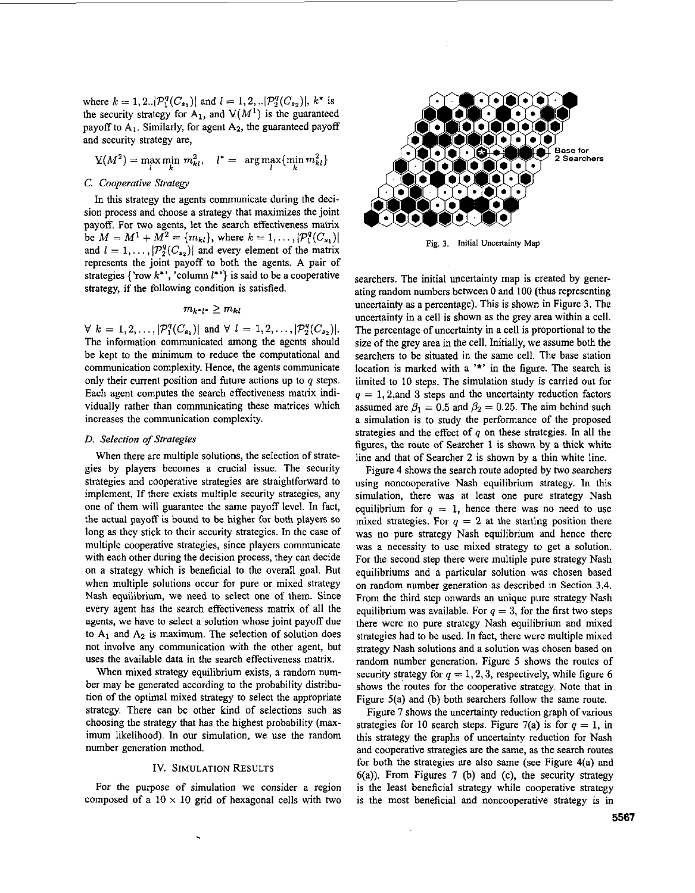where  $k = 1, 2..|\mathcal{P}_1^q(C_{s_1})|$  and  $l = 1, 2,..|\mathcal{P}_2^q(C_{s_2})|$ ,  $k^*$  is the security strategy for  $A_1$ , and  $Y(M^1)$  is the guaranteed payoff to A<sub>1</sub>. Similarly, for agent A<sub>2</sub>, the guaranteed payoff and security strategy are,

$$
\mathsf{Y}(M^2) = \max_l \min_k m_{kl}^2, \quad l^* = \arg \max_l \{\min_k m_{kl}^2\}
$$

## C. *Cooperative Strategy*

In this strategy the agents communicate during the decision process and choose a strategy that maximizes the joint payoff. For **two** agcnts, **let** the search effectiveness matrix be  $M = M^{1} + M^{2} = \{m_{kl}\}\text{, where } k = 1, \ldots, |\mathcal{P}_{1}^{q}(C_{s})|$ and  $l = 1, \ldots, |\mathcal{P}_2^q(C_{s_2})|$  and every element of the matrix represents the joint payoff to both the agents. **A** pair of strategies {'row *k\*',* 'column *1")* is said to be a cooperative strategy, if the following condition **is** satisfied.

$$
m_{k^*l^*} \geq m_{kl}
$$

 $\forall k = 1, 2, ..., |\mathcal{P}_1^q(C_{s_1})|$  and  $\forall l = 1, 2, ..., |\mathcal{P}_2^q(C_{s_2})|$ . The information communicated among the agents should be kept to the minimum to reduce the computational and communication complexity. Hence, the agents communicate only their current position and future actions up to *q* steps. Each agent computes the search effectiveness matrix individually rather than communicating these matrices which increases the communication complexity.

## *D. Selection of Strategies*

When there are multiple solutions, the selection of strategies by players becomes a crucial issue. The security strategies and cooperative strategies are straightforward to implement. If there exists multiple security strategies, any one of them will guarantee the same payoff level. In fact, the **actual** payoff **is** bound to be higher for both players **so**  long **as** they stick to their security strategies. In the case of multiple cooperative strategies, since players communicate with each other during the decision process, they can decide on a strategy which is beneficial to the overall **goal.** But when multiple solutions occur for pure or mixed strategy Nash equilibrium, we need to select one of them. Since every agent has the search effectiveness matrix **of** all the agents, we have to select a solution whose joint payoff due to  $A_1$  and  $A_2$  is maximum. The selection of solution does not involve any communication with the other agent, hut uses the available data in the search effectiveness matrix.

When mixed strategy equilibrium exists, a random number may be generated according to the probability distribution of the optimal mixed strategy to select the appropriate strategy. There can be other kind of selections such as choosing the strategy that has the highest probability (maximum likelihood). In our simulation, we use the random number generation method.

#### IV. SIMULATION RESULTS

For the purpose of simulation we consider a region composed of a  $10 \times 10$  grid of hexagonal cells with two



Fig. **3.** Initial Uncertainty Map

searchers. The initial uncertainty map is created by generating random numbers between 0 and **100** (thus representing uncertainly **as** a percentage). This is shown in Figure **3.** The uncertainty in a cell is shown **as** the grey area within a cell. The percentage of uncertainty in a cell is proportional to the size of the grey area in the cell. Initially, we assume both the searchers to be situated in the same cell. The base station location is marked with a '\*' in the figure. The search is limited to 10 steps. The simulation study is carried out for  $q = 1, 2,$ and 3 steps and the uncertainty reduction factors assumed are  $\beta_1 = 0.5$  and  $\beta_2 = 0.25$ . The aim behind such a simulation is to study the performance of the proposed strategies and the effect of *q* on these strategies. In all the figures, the route of Searcher **1 is** shown by a thick white line and that of Searcher **2** is shown by a thin white line.

[Figure](#page-4-0) **4** shows the search route adopted by two searchers using noncooperative Nash equilibrium strategy. In this simulation, there was at least one pure strategy Nash equilibrium for  $q = 1$ , hence there was no need to use mixed strategies. For  $q = 2$  at the starting position there was no pure strategy Nash equilibrium and hence there was a necessity to use mixed strategy to get a solution. For the second step there were multiple pure strategy Nash equilibriums and a particular solution was chosen based on random number generation **as** described in Section **3.4.**  From the third step onwards an unique pure strategy Nash equilibrium was available. For  $q = 3$ , for the first two steps there were no pure strategy Nash equilibrium and mixed strategies had to be used. In fact, there were multiple mixed strategy Nash solutions and a solution was chosen based on random number generation. [Figure 5](#page-4-0) shows the routes of security strategy for  $q = 1, 2, 3$ , respectively, while [figure 6](#page-4-0) shows the routes for the cooperative strategy. Note that in Figure 5(a) and (b) both searchers follow the same route.

[Figure 7](#page-4-0) shows the uncertainty reduction graph of various strategies for 10 search steps. Figure 7(a) is for  $q = 1$ , in this strategy the graphs of uncertainty reduction for Nash and cooperative strategies are the same, as the search routes for both the strategies are also same (see Figure 4(a) and  $6(a)$ ). From [Figures 7](#page-4-0) (b) and (c), the security strategy is the least beneficial strategy while cooperative strategy is the most beneficial and noncooperative strategy **is** in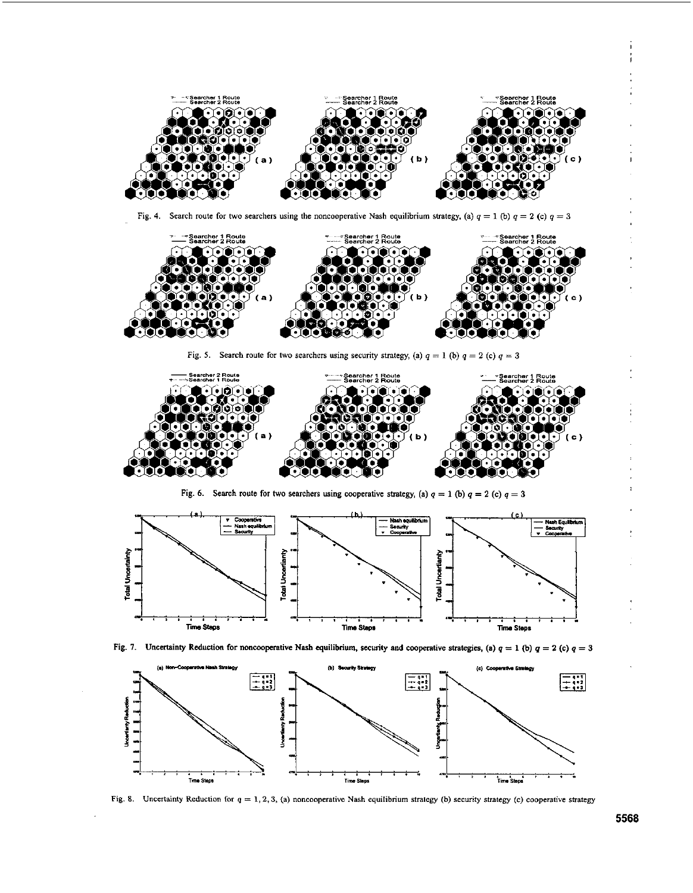<span id="page-4-0"></span>

Fig. 4. Search route for two searchers using the noncooperative Nash equilibrium strategy, (a)  $q = 1$  (b)  $q = 2$  (c)  $q = 3$ 



Fig. 5. Search route for two searchers using security strategy, (a)  $q = 1$  (b)  $q = 2$  (c)  $q = 3$ 



Fig. 6. Search route for two searchers using cooperative strategy, (a)  $q = 1$  (b)  $q = 2$  (c)  $q = 3$ 



Fig. 7. Uncertainty Reduction for noncooperative Nash equilibrium, security and cooperative strategies, (a)  $q = 1$  (b)  $q = 2$  (c)  $q = 3$ 



Fig. 8. Uncertainty Reduction for  $q = 1, 2, 3$ , (a) noncooperative Nash equilibrium strategy (b) security strategy (c) cooperative strategy